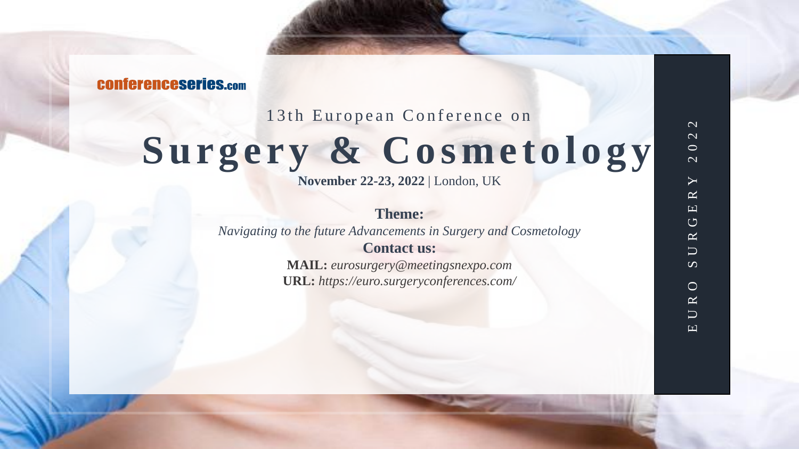**CONferenceseries.com** 

13th European Conference on

# Surgery & Cosmetology

**November 22-23, 2022** | London, UK

**Theme:**  *Navigating to the future Advancements in Surgery and Cosmetology* **Contact us:**

**MAIL:** *eurosurgery@meetingsnexpo.com* **URL:** *https://euro.surgeryconferences.com/*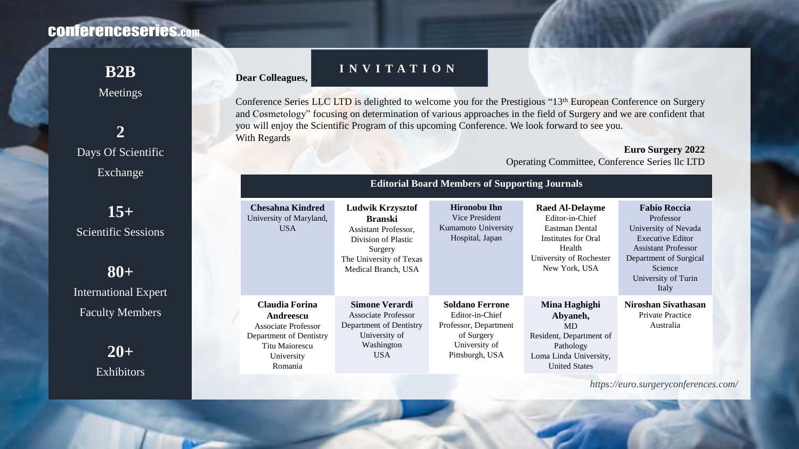# **CONferenceseries.com**

Meetings

**2** Days Of Scientific Exchange

**15+** Scientific Sessions

**80+** International Expert Faculty Members

> **20+** Exhibitors

## **B2B INVITATION**

**Dear Colleagues,**

Conference Series LLC LTD is delighted to welcome you for the Prestigious "13<sup>th</sup> European Conference on Surgery and Cosmetology" focusing on determination of various approaches in the field of Surgery and we are confident that you will enjoy the Scientific Program of this upcoming Conference. We look forward to see you. With Regards

**Euro Surgery 2022**

Operating Committee, Conference Series llc LTD

| <b>Editorial Board Members of Supporting Journals</b>                                                                                  |                                                                                                                                                       |                                                                                                                      |                                                                                                                                          |                                                                                                                                                                                        |
|----------------------------------------------------------------------------------------------------------------------------------------|-------------------------------------------------------------------------------------------------------------------------------------------------------|----------------------------------------------------------------------------------------------------------------------|------------------------------------------------------------------------------------------------------------------------------------------|----------------------------------------------------------------------------------------------------------------------------------------------------------------------------------------|
| Chesahna Kindred<br>University of Maryland,<br>USA.                                                                                    | <b>Ludwik Krzysztof</b><br><b>Branski</b><br>Assistant Professor,<br>Division of Plastic<br>Surgery<br>The University of Texas<br>Medical Branch, USA | <b>Hironobu Ihn</b><br>Vice President<br>Kumamoto University<br>Hospital, Japan                                      | <b>Raed Al-Delayme</b><br>Editor-in-Chief<br>Eastman Dental<br>Institutes for Oral<br>Health<br>University of Rochester<br>New York, USA | <b>Fabio Roccia</b><br>Professor<br>University of Nevada<br><b>Executive Editor</b><br><b>Assistant Professor</b><br>Department of Surgical<br>Science<br>University of Turin<br>Italy |
| Claudia Forina<br>Andreescu<br><b>Associate Professor</b><br>Department of Dentistry<br><b>Titu Maiorescu</b><br>University<br>Romania | Simone Verardi<br><b>Associate Professor</b><br>Department of Dentistry<br>University of<br>Washington<br>USA                                         | <b>Soldano Ferrone</b><br>Editor-in-Chief<br>Professor, Department<br>of Surgery<br>University of<br>Pittsburgh, USA | Mina Haghighi<br>Abyaneh,<br><b>MD</b><br>Resident, Department of<br>Pathology<br>Loma Linda University,<br><b>United States</b>         | Niroshan Sivathasan<br><b>Private Practice</b><br>Australia                                                                                                                            |

*https://euro.surgeryconferences.com/*